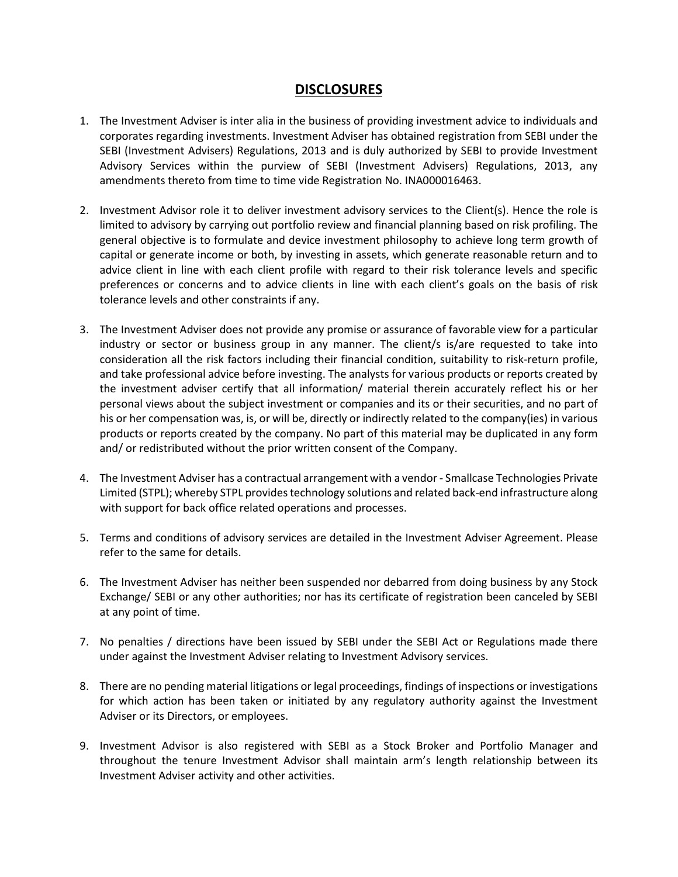## **DISCLOSURES**

- 1. The Investment Adviser is inter alia in the business of providing investment advice to individuals and corporates regarding investments. Investment Adviser has obtained registration from SEBI under the SEBI (Investment Advisers) Regulations, 2013 and is duly authorized by SEBI to provide Investment Advisory Services within the purview of SEBI (Investment Advisers) Regulations, 2013, any amendments thereto from time to time vide Registration No. INA000016463.
- 2. Investment Advisor role it to deliver investment advisory services to the Client(s). Hence the role is limited to advisory by carrying out portfolio review and financial planning based on risk profiling. The general objective is to formulate and device investment philosophy to achieve long term growth of capital or generate income or both, by investing in assets, which generate reasonable return and to advice client in line with each client profile with regard to their risk tolerance levels and specific preferences or concerns and to advice clients in line with each client's goals on the basis of risk tolerance levels and other constraints if any.
- 3. The Investment Adviser does not provide any promise or assurance of favorable view for a particular industry or sector or business group in any manner. The client/s is/are requested to take into consideration all the risk factors including their financial condition, suitability to risk-return profile, and take professional advice before investing. The analysts for various products or reports created by the investment adviser certify that all information/ material therein accurately reflect his or her personal views about the subject investment or companies and its or their securities, and no part of his or her compensation was, is, or will be, directly or indirectly related to the company(ies) in various products or reports created by the company. No part of this material may be duplicated in any form and/ or redistributed without the prior written consent of the Company.
- 4. The Investment Adviser has a contractual arrangement with a vendor Smallcase Technologies Private Limited (STPL); whereby STPL provides technology solutions and related back-end infrastructure along with support for back office related operations and processes.
- 5. Terms and conditions of advisory services are detailed in the Investment Adviser Agreement. Please refer to the same for details.
- 6. The Investment Adviser has neither been suspended nor debarred from doing business by any Stock Exchange/ SEBI or any other authorities; nor has its certificate of registration been canceled by SEBI at any point of time.
- 7. No penalties / directions have been issued by SEBI under the SEBI Act or Regulations made there under against the Investment Adviser relating to Investment Advisory services.
- 8. There are no pending material litigations or legal proceedings, findings of inspections or investigations for which action has been taken or initiated by any regulatory authority against the Investment Adviser or its Directors, or employees.
- 9. Investment Advisor is also registered with SEBI as a Stock Broker and Portfolio Manager and throughout the tenure Investment Advisor shall maintain arm's length relationship between its Investment Adviser activity and other activities.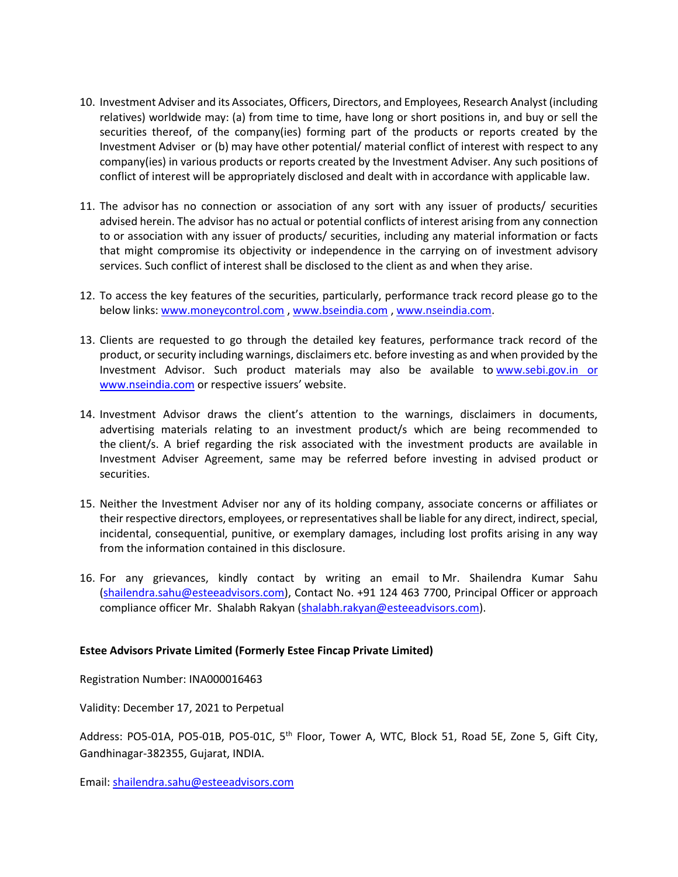- 10. Investment Adviser and its Associates, Officers, Directors, and Employees, Research Analyst (including relatives) worldwide may: (a) from time to time, have long or short positions in, and buy or sell the securities thereof, of the company(ies) forming part of the products or reports created by the Investment Adviser or (b) may have other potential/ material conflict of interest with respect to any company(ies) in various products or reports created by the Investment Adviser. Any such positions of conflict of interest will be appropriately disclosed and dealt with in accordance with applicable law.
- 11. The advisor has no connection or association of any sort with any issuer of products/ securities advised herein. The advisor has no actual or potential conflicts of interest arising from any connection to or association with any issuer of products/ securities, including any material information or facts that might compromise its objectivity or independence in the carrying on of investment advisory services. Such conflict of interest shall be disclosed to the client as and when they arise.
- 12. To access the key features of the securities, particularly, performance track record please go to the below links: [www.moneycontrol.com](http://www.moneycontrol.com/) [, www.bseindia.com](http://www.bseindia.com/) , [www.nseindia.com.](http://www.nseindia.com/)
- 13. Clients are requested to go through the detailed key features, performance track record of the product, or security including warnings, disclaimers etc. before investing as and when provided by the Investment Advisor. Such product materials may also be available to www.sebi.gov.in or [www.nseindia.com](http://www.nseindia.com/) or respective issuers' website.
- 14. Investment Advisor draws the client's attention to the warnings, disclaimers in documents, advertising materials relating to an investment product/s which are being recommended to the client/s. A brief regarding the risk associated with the investment products are available in Investment Adviser Agreement, same may be referred before investing in advised product or securities.
- 15. Neither the Investment Adviser nor any of its holding company, associate concerns or affiliates or their respective directors, employees, or representatives shall be liable for any direct, indirect, special, incidental, consequential, punitive, or exemplary damages, including lost profits arising in any way from the information contained in this disclosure.
- 16. For any grievances, kindly contact by writing an email to Mr. Shailendra Kumar Sahu [\(shailendra.sahu@esteeadvisors.com\)](mailto:shailendra.sahu@esteeadvisors.com), Contact No. +91 124 463 7700, Principal Officer or approach compliance officer Mr. Shalabh Rakyan [\(shalabh.rakyan@esteeadvisors.com\)](mailto:shalabh.rakyan@esteeadvisors.com).

## **Estee Advisors Private Limited (Formerly Estee Fincap Private Limited)**

Registration Number: INA000016463

Validity: December 17, 2021 to Perpetual

Address: PO5-01A, PO5-01B, PO5-01C, 5<sup>th</sup> Floor, Tower A, WTC, Block 51, Road 5E, Zone 5, Gift City, Gandhinagar-382355, Gujarat, INDIA.

Email: [shailendra.sahu@esteeadvisors.com](mailto:shailendra.sahu@esteeadvisors.com)